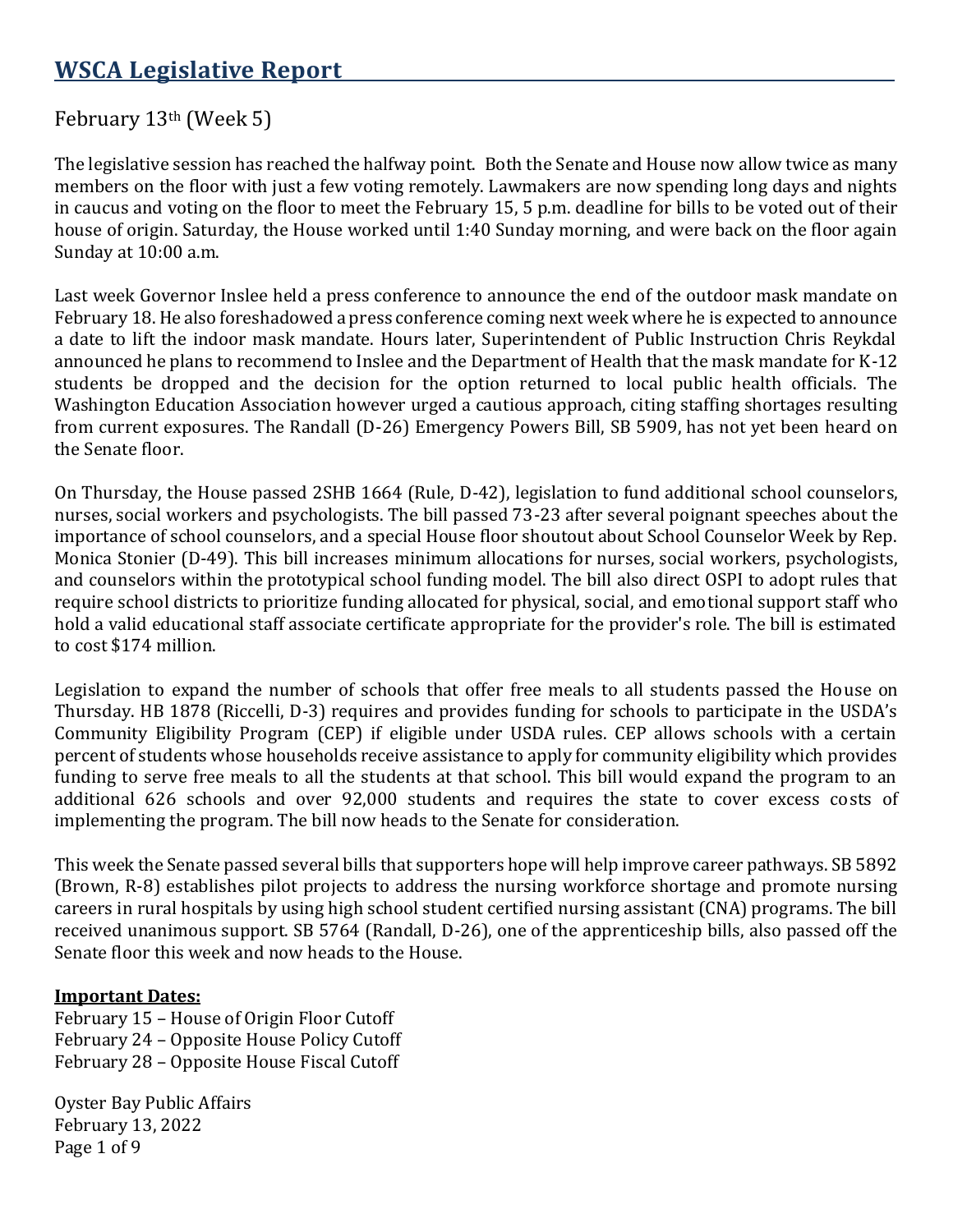# February 13th (Week 5)

The legislative session has reached the halfway point. Both the Senate and House now allow twice as many members on the floor with just a few voting remotely. Lawmakers are now spending long days and nights in caucus and voting on the floor to meet the February 15, 5 p.m. deadline for bills to be voted out of their house of origin. Saturday, the House worked until 1:40 Sunday morning, and were back on the floor again Sunday at 10:00 a.m.

Last week Governor Inslee held a press conference to announce the end of the outdoor mask mandate on February 18. He also foreshadowed a press conference coming next week where he is expected to announce a date to lift the indoor mask mandate. Hours later, Superintendent of Public Instruction Chris Reykdal announced he plans to recommend to Inslee and the Department of Health that the mask mandate for K-12 students be dropped and the decision for the option returned to local public health officials. The Washington Education Association however urged a cautious approach, citing staffing shortages resulting from current exposures. The Randall (D-26) Emergency Powers Bill, SB 5909, has not yet been heard on the Senate floor.

On Thursday, the House passed 2SHB 1664 (Rule, D-42), legislation to fund additional school counselors, nurses, social workers and psychologists. The bill passed 73-23 after several poignant speeches about the importance of school counselors, and a special House floor shoutout about School Counselor Week by Rep. Monica Stonier (D-49). This bill increases minimum allocations for nurses, social workers, psychologists, and counselors within the prototypical school funding model. The bill also direct OSPI to adopt rules that require school districts to prioritize funding allocated for physical, social, and emotional support staff who hold a valid educational staff associate certificate appropriate for the provider's role. The bill is estimated to cost \$174 million.

Legislation to expand the number of schools that offer free meals to all students passed the House on Thursday. HB 1878 (Riccelli, D-3) requires and provides funding for schools to participate in the USDA's Community Eligibility Program (CEP) if eligible under USDA rules. CEP allows schools with a certain percent of students whose households receive assistance to apply for community eligibility which provides funding to serve free meals to all the students at that school. This bill would expand the program to an additional 626 schools and over 92,000 students and requires the state to cover excess costs of implementing the program. The bill now heads to the Senate for consideration.

This week the Senate passed several bills that supporters hope will help improve career pathways. SB 5892 (Brown, R-8) establishes pilot projects to address the nursing workforce shortage and promote nursing careers in rural hospitals by using high school student certified nursing assistant (CNA) programs. The bill received unanimous support. SB 5764 (Randall, D-26), one of the apprenticeship bills, also passed off the Senate floor this week and now heads to the House.

# **Important Dates:**

February 15 – House of Origin Floor Cutoff February 24 – Opposite House Policy Cutoff February 28 – Opposite House Fiscal Cutoff

Oyster Bay Public Affairs February 13, 2022 Page 1 of 9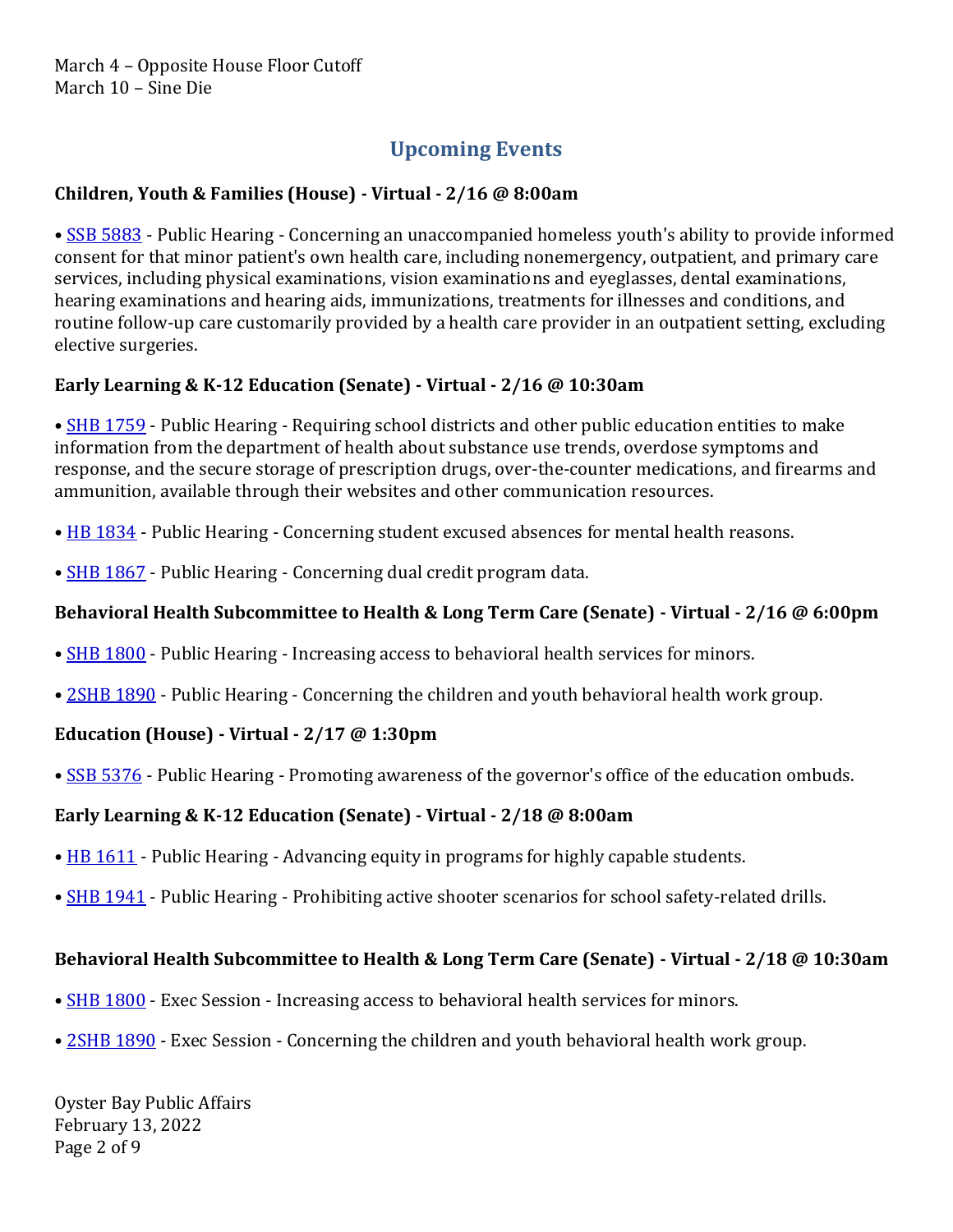# **Upcoming Events**

# **Children, Youth & Families (House) - Virtual - 2/16 @ 8:00am**

• [SSB 5883](https://app.leg.wa.gov/billsummary?Year=2021&BillNumber=5883) - Public Hearing - Concerning an unaccompanied homeless youth's ability to provide informed consent for that minor patient's own health care, including nonemergency, outpatient, and primary care services, including physical examinations, vision examinations and eyeglasses, dental examinations, hearing examinations and hearing aids, immunizations, treatments for illnesses and conditions, and routine follow-up care customarily provided by a health care provider in an outpatient setting, excluding elective surgeries.

#### **Early Learning & K-12 Education (Senate) - Virtual - 2/16 @ 10:30am**

• [SHB 1759](https://app.leg.wa.gov/billsummary?Year=2021&BillNumber=1759) - Public Hearing - Requiring school districts and other public education entities to make information from the department of health about substance use trends, overdose symptoms and response, and the secure storage of prescription drugs, over-the-counter medications, and firearms and ammunition, available through their websites and other communication resources.

- [HB 1834](https://app.leg.wa.gov/billsummary?Year=2021&BillNumber=1834) Public Hearing Concerning student excused absences for mental health reasons.
- **[SHB 1867](https://app.leg.wa.gov/billsummary?Year=2021&BillNumber=1867)** Public Hearing Concerning dual credit program data.

# **Behavioral Health Subcommittee to Health & Long Term Care (Senate) - Virtual - 2/16 @ 6:00pm**

- [SHB 1800](https://app.leg.wa.gov/billsummary?Year=2021&BillNumber=1800) Public Hearing Increasing access to behavioral health services for minors.
- [2SHB 1890](https://app.leg.wa.gov/billsummary?Year=2021&BillNumber=1890) Public Hearing Concerning the children and youth behavioral health work group.

# **Education (House) - Virtual - 2/17 @ 1:30pm**

• [SSB 5376](https://app.leg.wa.gov/billsummary?Year=2021&BillNumber=5376) - Public Hearing - Promoting awareness of the governor's office of the education ombuds.

# **Early Learning & K-12 Education (Senate) - Virtual - 2/18 @ 8:00am**

- [HB 1611](https://app.leg.wa.gov/billsummary?Year=2021&BillNumber=1611) Public Hearing Advancing equity in programs for highly capable students.
- **[SHB 1941](https://app.leg.wa.gov/billsummary?Year=2021&BillNumber=1941)** Public Hearing Prohibiting active shooter scenarios for school safety-related drills.

#### **Behavioral Health Subcommittee to Health & Long Term Care (Senate) - Virtual - 2/18 @ 10:30am**

- **[SHB 1800](https://app.leg.wa.gov/billsummary?Year=2021&BillNumber=1800)** Exec Session Increasing access to behavioral health services for minors.
- [2SHB 1890](https://app.leg.wa.gov/billsummary?Year=2021&BillNumber=1890) Exec Session Concerning the children and youth behavioral health work group.

Oyster Bay Public Affairs February 13, 2022 Page 2 of 9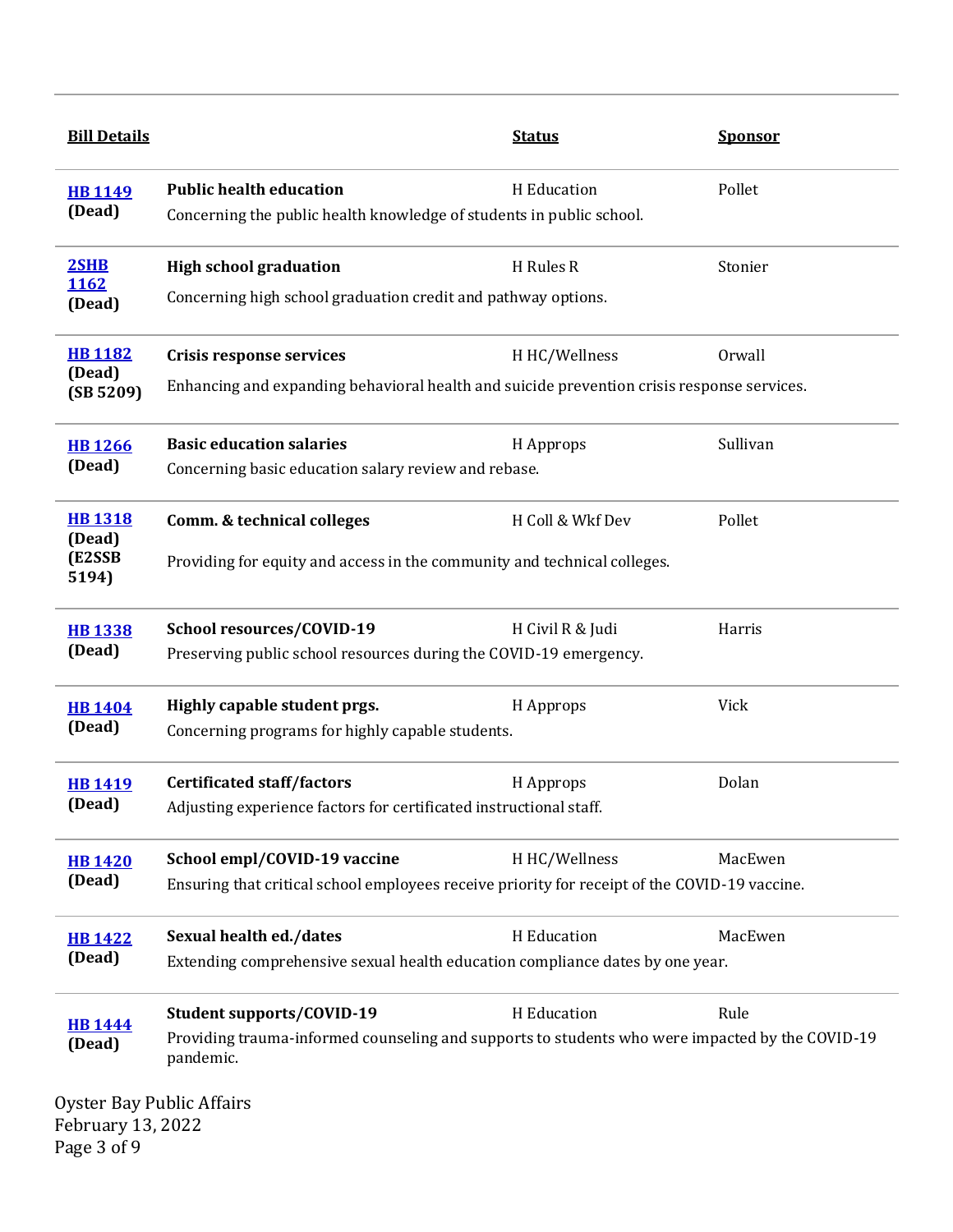| <b>Bill Details</b>                                                                     |                                                                                                              | <b>Status</b>    | <b>Sponsor</b> |  |
|-----------------------------------------------------------------------------------------|--------------------------------------------------------------------------------------------------------------|------------------|----------------|--|
| <b>HB1149</b><br>(Dead)                                                                 | <b>Public health education</b><br>Concerning the public health knowledge of students in public school.       | H Education      | Pollet         |  |
| 2SHB<br>1162                                                                            | <b>High school graduation</b>                                                                                | H Rules R        | Stonier        |  |
| (Dead)                                                                                  | Concerning high school graduation credit and pathway options.                                                |                  |                |  |
| <b>HB1182</b><br>(Dead)                                                                 | <b>Crisis response services</b>                                                                              | H HC/Wellness    | Orwall         |  |
| (SB 5209)                                                                               | Enhancing and expanding behavioral health and suicide prevention crisis response services.                   |                  |                |  |
| <b>HB1266</b>                                                                           | <b>Basic education salaries</b>                                                                              | H Approps        | Sullivan       |  |
| (Dead)                                                                                  | Concerning basic education salary review and rebase.                                                         |                  |                |  |
| <b>HB 1318</b>                                                                          | <b>Comm. &amp; technical colleges</b>                                                                        | H Coll & Wkf Dev | Pollet         |  |
| (Dead)<br>(E2SSB<br>5194)                                                               | Providing for equity and access in the community and technical colleges.                                     |                  |                |  |
| <b>HB1338</b>                                                                           | School resources/COVID-19                                                                                    | H Civil R & Judi | Harris         |  |
| (Dead)                                                                                  | Preserving public school resources during the COVID-19 emergency.                                            |                  |                |  |
| <b>HB 1404</b>                                                                          | Highly capable student prgs.                                                                                 | H Approps        | Vick           |  |
| (Dead)                                                                                  | Concerning programs for highly capable students.                                                             |                  |                |  |
| <b>HB1419</b>                                                                           | <b>Certificated staff/factors</b>                                                                            | H Approps        | Dolan          |  |
| (Dead)                                                                                  | Adjusting experience factors for certificated instructional staff.                                           |                  |                |  |
| <b>HB1420</b>                                                                           | School empl/COVID-19 vaccine                                                                                 | H HC/Wellness    | MacEwen        |  |
| (Dead)                                                                                  | Ensuring that critical school employees receive priority for receipt of the COVID-19 vaccine.                |                  |                |  |
| <b>HB 1422</b>                                                                          | Sexual health ed./dates                                                                                      | H Education      | MacEwen        |  |
| (Dead)<br>Extending comprehensive sexual health education compliance dates by one year. |                                                                                                              |                  |                |  |
| <b>HB1444</b>                                                                           | <b>Student supports/COVID-19</b>                                                                             | H Education      | Rule           |  |
| (Dead)                                                                                  | Providing trauma-informed counseling and supports to students who were impacted by the COVID-19<br>pandemic. |                  |                |  |
| <b>Oyster Bay Public Affairs</b>                                                        |                                                                                                              |                  |                |  |

February 13, 2022 Page 3 of 9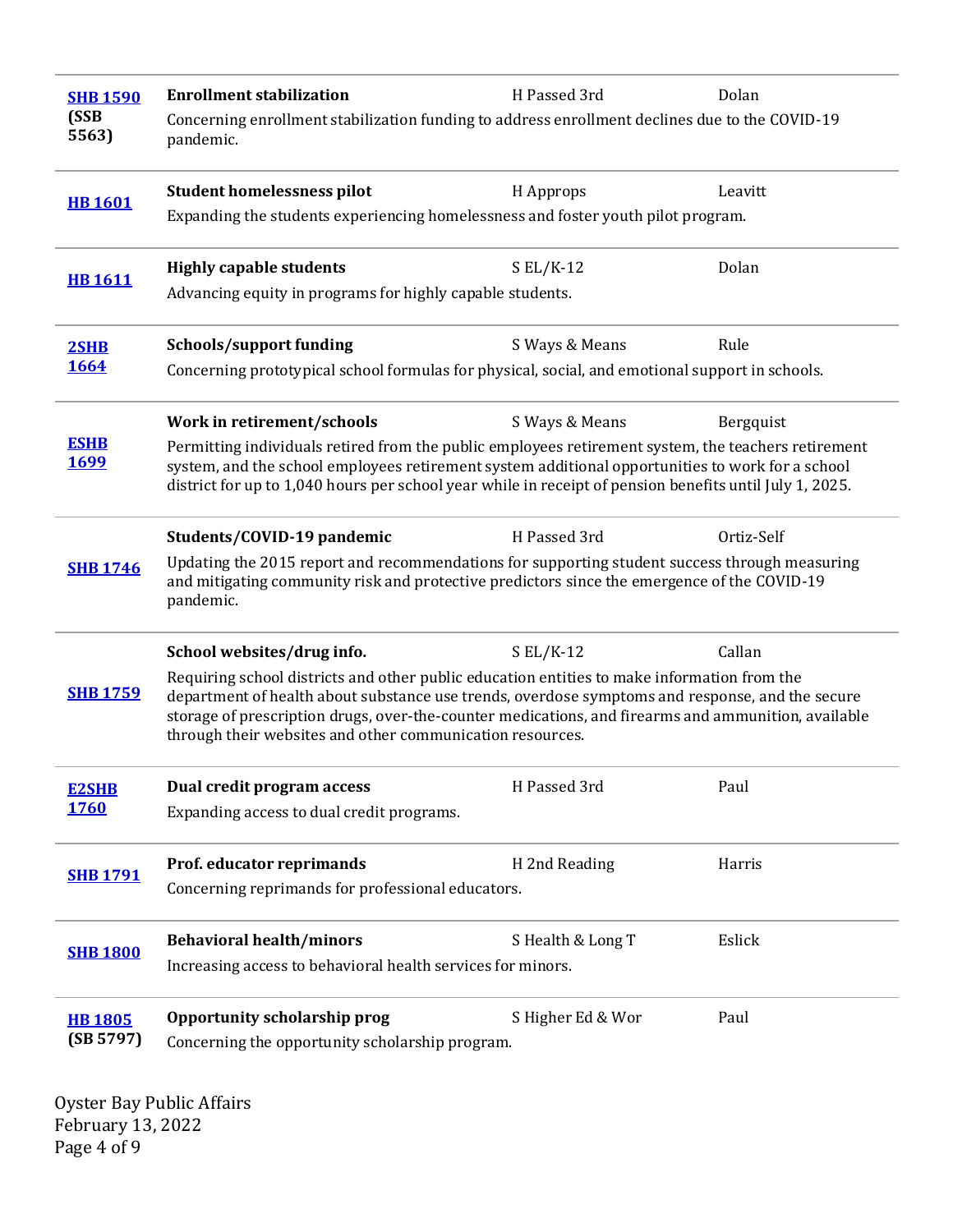| <b>SHB 1590</b>            | <b>Enrollment stabilization</b>                                                                                                                                                                                                                                                                                                                                    | H Passed 3rd      | Dolan      |  |
|----------------------------|--------------------------------------------------------------------------------------------------------------------------------------------------------------------------------------------------------------------------------------------------------------------------------------------------------------------------------------------------------------------|-------------------|------------|--|
| (SSB<br>5563)              | Concerning enrollment stabilization funding to address enrollment declines due to the COVID-19<br>pandemic.                                                                                                                                                                                                                                                        |                   |            |  |
| <b>HB 1601</b>             | <b>Student homelessness pilot</b>                                                                                                                                                                                                                                                                                                                                  | H Approps         | Leavitt    |  |
|                            | Expanding the students experiencing homelessness and foster youth pilot program.                                                                                                                                                                                                                                                                                   |                   |            |  |
| <b>HB 1611</b>             | <b>Highly capable students</b>                                                                                                                                                                                                                                                                                                                                     | $S EL/K-12$       | Dolan      |  |
|                            | Advancing equity in programs for highly capable students.                                                                                                                                                                                                                                                                                                          |                   |            |  |
| 2SHB                       | <b>Schools/support funding</b>                                                                                                                                                                                                                                                                                                                                     | S Ways & Means    | Rule       |  |
| 1664                       | Concerning prototypical school formulas for physical, social, and emotional support in schools.                                                                                                                                                                                                                                                                    |                   |            |  |
|                            | Work in retirement/schools                                                                                                                                                                                                                                                                                                                                         | S Ways & Means    | Bergquist  |  |
| <b>ESHB</b><br><b>1699</b> | Permitting individuals retired from the public employees retirement system, the teachers retirement<br>system, and the school employees retirement system additional opportunities to work for a school<br>district for up to 1,040 hours per school year while in receipt of pension benefits until July 1, 2025.                                                 |                   |            |  |
| <b>SHB 1746</b>            | Students/COVID-19 pandemic                                                                                                                                                                                                                                                                                                                                         | H Passed 3rd      | Ortiz-Self |  |
|                            | Updating the 2015 report and recommendations for supporting student success through measuring<br>and mitigating community risk and protective predictors since the emergence of the COVID-19<br>pandemic.                                                                                                                                                          |                   |            |  |
|                            | School websites/drug info.                                                                                                                                                                                                                                                                                                                                         | $S EL/K-12$       | Callan     |  |
| <b>SHB 1759</b>            | Requiring school districts and other public education entities to make information from the<br>department of health about substance use trends, overdose symptoms and response, and the secure<br>storage of prescription drugs, over-the-counter medications, and firearms and ammunition, available<br>through their websites and other communication resources. |                   |            |  |
| <b>E2SHB</b>               | Dual credit program access                                                                                                                                                                                                                                                                                                                                         | H Passed 3rd      | Paul       |  |
| <b>1760</b>                | Expanding access to dual credit programs.                                                                                                                                                                                                                                                                                                                          |                   |            |  |
| <b>SHB 1791</b>            | Prof. educator reprimands                                                                                                                                                                                                                                                                                                                                          | H 2nd Reading     | Harris     |  |
|                            | Concerning reprimands for professional educators.                                                                                                                                                                                                                                                                                                                  |                   |            |  |
|                            | <b>Behavioral health/minors</b>                                                                                                                                                                                                                                                                                                                                    | S Health & Long T | Eslick     |  |
| <b>SHB 1800</b>            | Increasing access to behavioral health services for minors.                                                                                                                                                                                                                                                                                                        |                   |            |  |
| <b>HB1805</b><br>(SB 5797) | Opportunity scholarship prog<br>Concerning the opportunity scholarship program.                                                                                                                                                                                                                                                                                    | S Higher Ed & Wor | Paul       |  |

Oyster Bay Public Affairs February 13, 2022 Page 4 of 9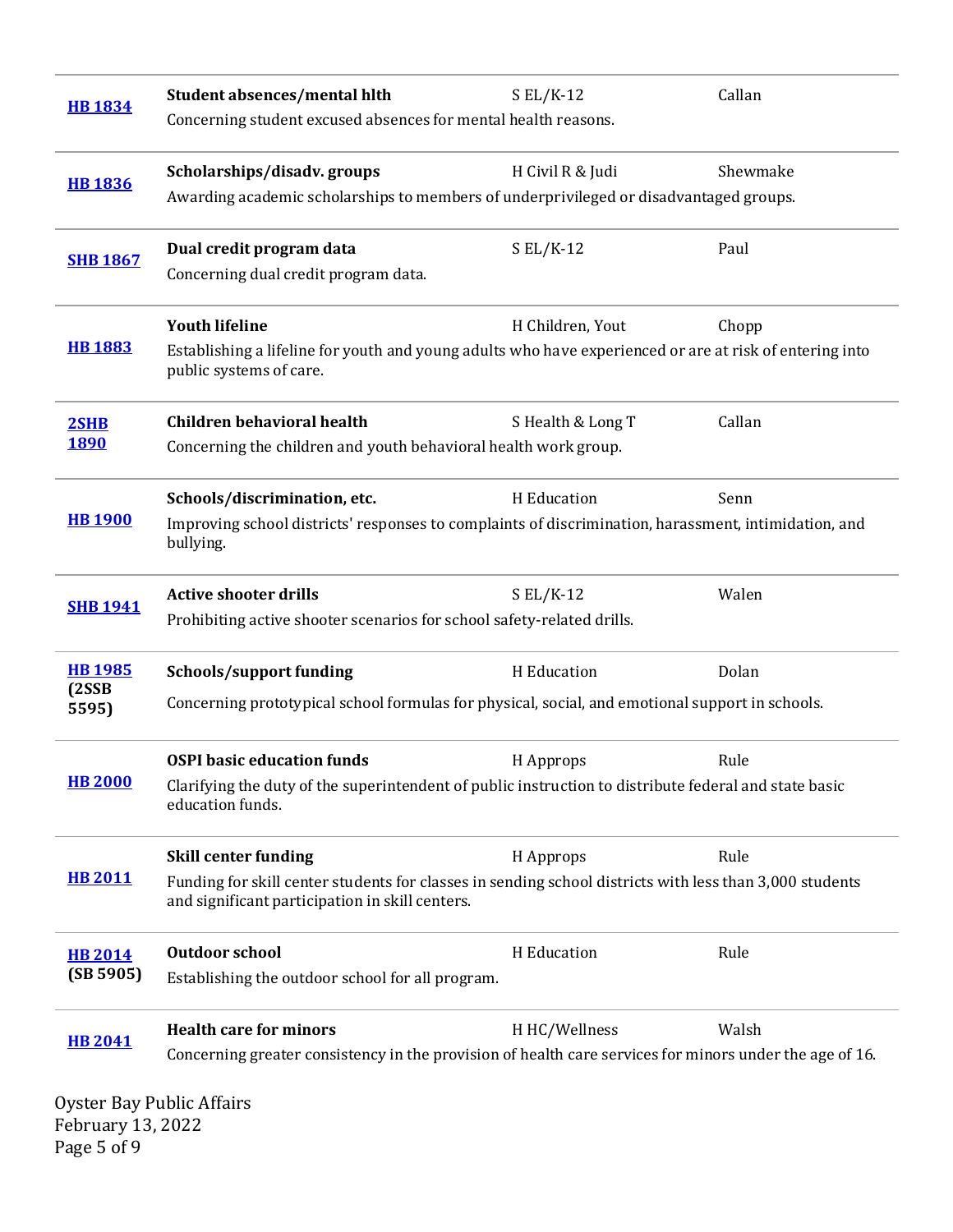| <b>HB 1834</b>                    | <b>Student absences/mental hlth</b><br>Concerning student excused absences for mental health reasons.                                                                                     | $S EL/K-12$       | Callan   |
|-----------------------------------|-------------------------------------------------------------------------------------------------------------------------------------------------------------------------------------------|-------------------|----------|
| <b>HB 1836</b>                    | Scholarships/disadv.groups<br>Awarding academic scholarships to members of underprivileged or disadvantaged groups.                                                                       | H Civil R & Judi  | Shewmake |
| <b>SHB 1867</b>                   | Dual credit program data<br>Concerning dual credit program data.                                                                                                                          | $S EL/K-12$       | Paul     |
| <b>HB 1883</b>                    | <b>Youth lifeline</b><br>Establishing a lifeline for youth and young adults who have experienced or are at risk of entering into<br>public systems of care.                               | H Children, Yout  | Chopp    |
| 2SHB<br><b>1890</b>               | <b>Children behavioral health</b><br>Concerning the children and youth behavioral health work group.                                                                                      | S Health & Long T | Callan   |
| <b>HB 1900</b>                    | Schools/discrimination, etc.<br>Improving school districts' responses to complaints of discrimination, harassment, intimidation, and<br>bullying.                                         | H Education       | Senn     |
| <b>SHB 1941</b>                   | <b>Active shooter drills</b><br>Prohibiting active shooter scenarios for school safety-related drills.                                                                                    | $S EL/K-12$       | Walen    |
| <b>HB 1985</b><br>(2SSB)<br>5595) | <b>Schools/support funding</b><br>Concerning prototypical school formulas for physical, social, and emotional support in schools.                                                         | H Education       | Dolan    |
| <b>HB 2000</b>                    | <b>OSPI basic education funds</b><br>Clarifying the duty of the superintendent of public instruction to distribute federal and state basic<br>education funds.                            | H Approps         | Rule     |
| <b>HB 2011</b>                    | <b>Skill center funding</b><br>Funding for skill center students for classes in sending school districts with less than 3,000 students<br>and significant participation in skill centers. | H Approps         | Rule     |
| <b>HB 2014</b><br>(SB 5905)       | <b>Outdoor school</b><br>Establishing the outdoor school for all program.                                                                                                                 | H Education       | Rule     |
| <b>HB 2041</b>                    | <b>Health care for minors</b><br>Concerning greater consistency in the provision of health care services for minors under the age of 16.<br>Oyster Bay Public Affairs                     | H HC/Wellness     | Walsh    |
| February 13, 2022                 |                                                                                                                                                                                           |                   |          |

Page 5 of 9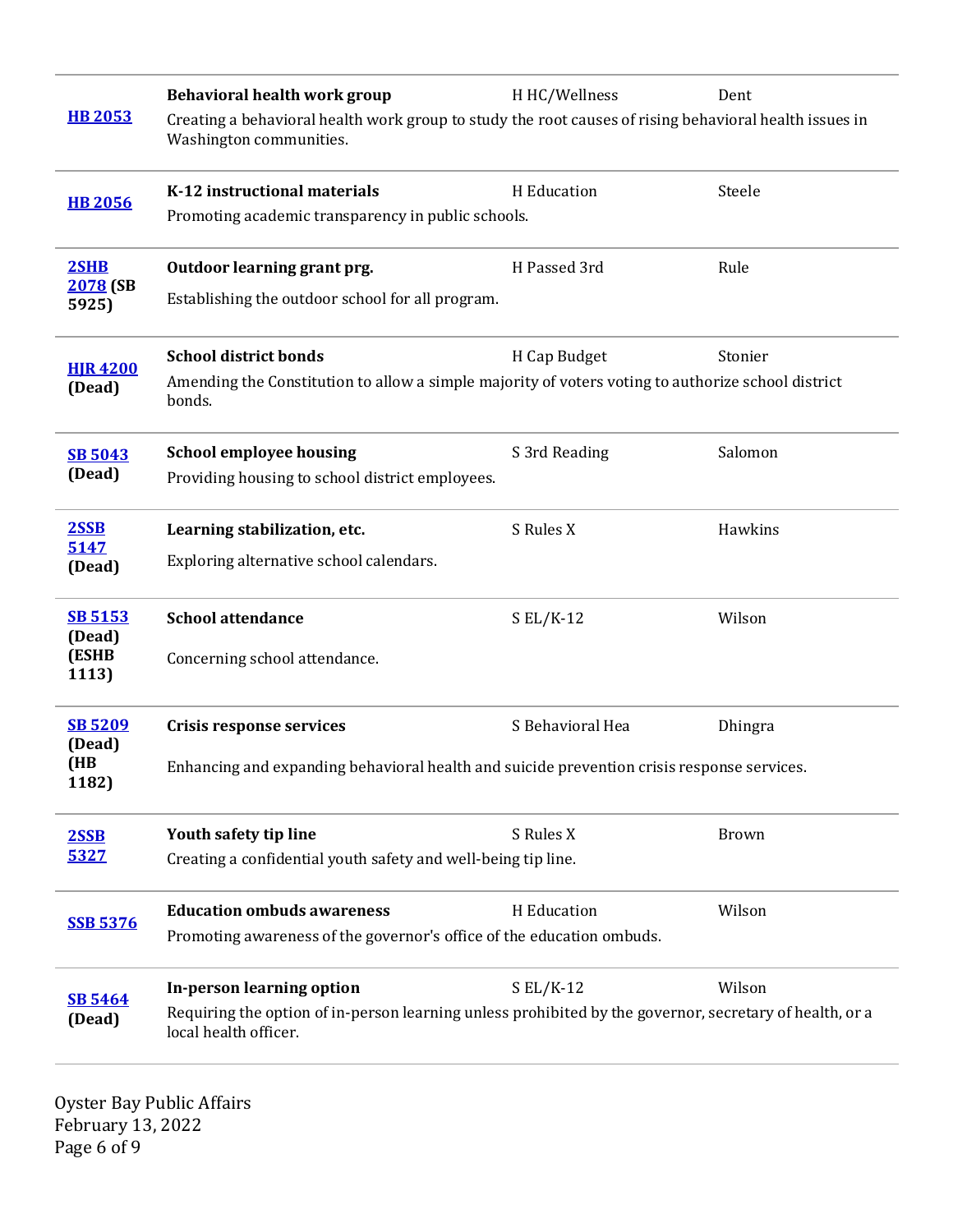|                          | Behavioral health work group                                                                                                      | H HC/Wellness    | Dent    |  |
|--------------------------|-----------------------------------------------------------------------------------------------------------------------------------|------------------|---------|--|
| <b>HB 2053</b>           | Creating a behavioral health work group to study the root causes of rising behavioral health issues in<br>Washington communities. |                  |         |  |
| <b>HB 2056</b>           | K-12 instructional materials                                                                                                      | H Education      | Steele  |  |
|                          | Promoting academic transparency in public schools.                                                                                |                  |         |  |
| 2SHB                     | Outdoor learning grant prg.                                                                                                       | H Passed 3rd     | Rule    |  |
| 2078 (SB<br>5925)        | Establishing the outdoor school for all program.                                                                                  |                  |         |  |
| <b>HJR 4200</b>          | <b>School district bonds</b>                                                                                                      | H Cap Budget     | Stonier |  |
| (Dead)                   | Amending the Constitution to allow a simple majority of voters voting to authorize school district<br>bonds.                      |                  |         |  |
| <b>SB 5043</b>           | <b>School employee housing</b>                                                                                                    | S 3rd Reading    | Salomon |  |
| (Dead)                   | Providing housing to school district employees.                                                                                   |                  |         |  |
| 2SSB                     | Learning stabilization, etc.                                                                                                      | S Rules X        | Hawkins |  |
| 5147<br>(Dead)           | Exploring alternative school calendars.                                                                                           |                  |         |  |
| <b>SB 5153</b>           | <b>School attendance</b>                                                                                                          | $S EL/K-12$      | Wilson  |  |
| (Dead)<br>(ESHB<br>1113) | Concerning school attendance.                                                                                                     |                  |         |  |
| <b>SB 5209</b>           | <b>Crisis response services</b>                                                                                                   | S Behavioral Hea | Dhingra |  |
| (Dead)<br>(HB<br>1182)   | Enhancing and expanding behavioral health and suicide prevention crisis response services.                                        |                  |         |  |
| 2SSB                     | Youth safety tip line                                                                                                             | S Rules X        | Brown   |  |
| 5327                     | Creating a confidential youth safety and well-being tip line.                                                                     |                  |         |  |
| <b>SSB 5376</b>          | <b>Education ombuds awareness</b>                                                                                                 | H Education      | Wilson  |  |
|                          | Promoting awareness of the governor's office of the education ombuds.                                                             |                  |         |  |
| <b>SB 5464</b>           | In-person learning option                                                                                                         | $S EL/K-12$      | Wilson  |  |
| (Dead)                   | Requiring the option of in-person learning unless prohibited by the governor, secretary of health, or a<br>local health officer.  |                  |         |  |

Oyster Bay Public Affairs February 13, 2022 Page 6 of 9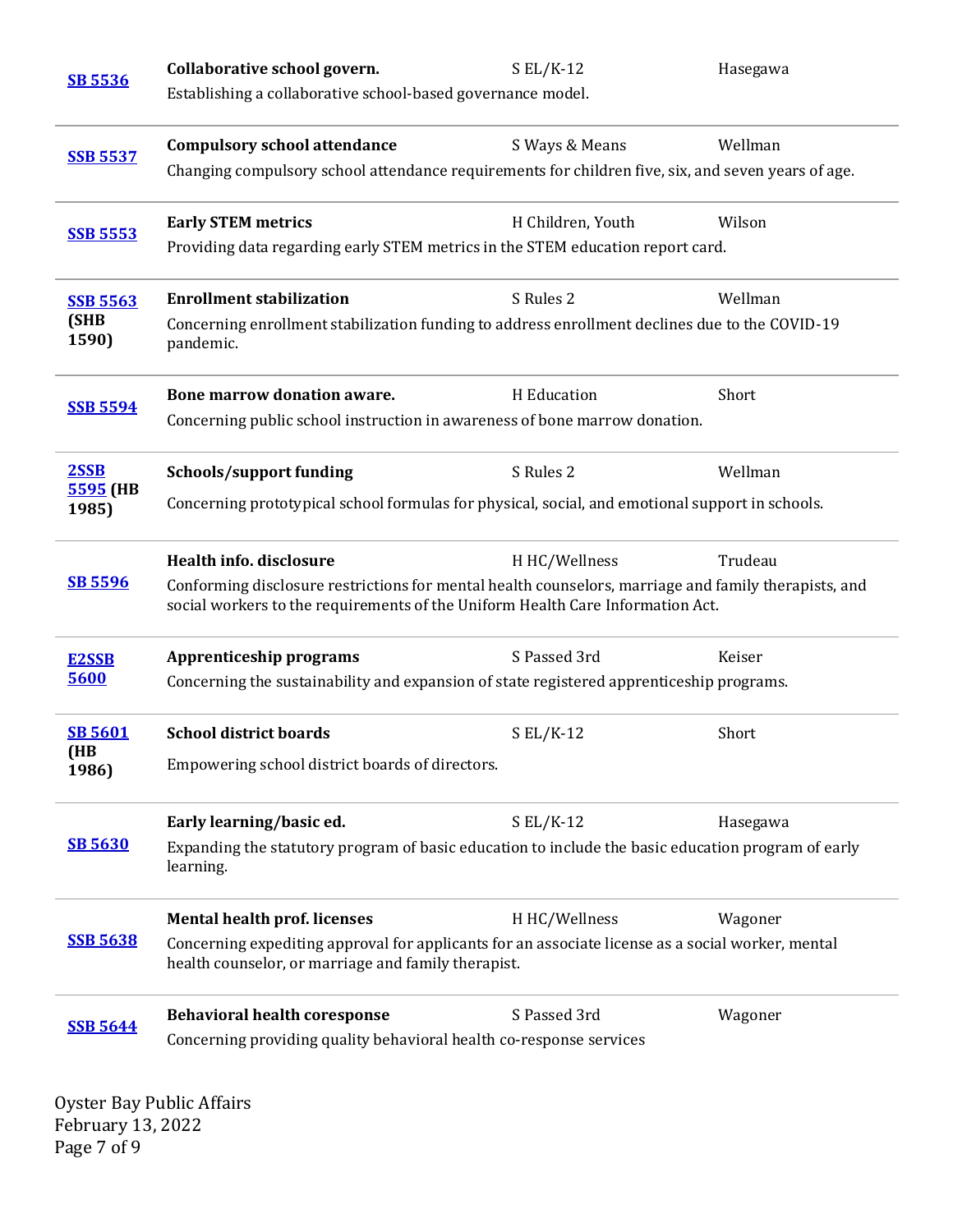| <b>SB 5536</b>                                                                                                       | Collaborative school govern.                                                                                                                                                           | $S EL/K-12$       | Hasegawa |  |
|----------------------------------------------------------------------------------------------------------------------|----------------------------------------------------------------------------------------------------------------------------------------------------------------------------------------|-------------------|----------|--|
|                                                                                                                      | Establishing a collaborative school-based governance model.                                                                                                                            |                   |          |  |
| <b>SSB 5537</b>                                                                                                      | <b>Compulsory school attendance</b>                                                                                                                                                    | S Ways & Means    | Wellman  |  |
|                                                                                                                      | Changing compulsory school attendance requirements for children five, six, and seven years of age.                                                                                     |                   |          |  |
| <b>SSB 5553</b>                                                                                                      | <b>Early STEM metrics</b>                                                                                                                                                              | H Children, Youth | Wilson   |  |
|                                                                                                                      | Providing data regarding early STEM metrics in the STEM education report card.                                                                                                         |                   |          |  |
| <b>SSB 5563</b>                                                                                                      | <b>Enrollment stabilization</b>                                                                                                                                                        | S Rules 2         | Wellman  |  |
| (SHB<br>1590)                                                                                                        | Concerning enrollment stabilization funding to address enrollment declines due to the COVID-19<br>pandemic.                                                                            |                   |          |  |
|                                                                                                                      | Bone marrow donation aware.                                                                                                                                                            | H Education       | Short    |  |
| <b>SSB 5594</b>                                                                                                      | Concerning public school instruction in awareness of bone marrow donation.                                                                                                             |                   |          |  |
| 2SSB                                                                                                                 | <b>Schools/support funding</b>                                                                                                                                                         | S Rules 2         | Wellman  |  |
| 5595 (HB<br>Concerning prototypical school formulas for physical, social, and emotional support in schools.<br>1985) |                                                                                                                                                                                        |                   |          |  |
|                                                                                                                      | Health info. disclosure                                                                                                                                                                | H HC/Wellness     | Trudeau  |  |
| <b>SB 5596</b>                                                                                                       | Conforming disclosure restrictions for mental health counselors, marriage and family therapists, and<br>social workers to the requirements of the Uniform Health Care Information Act. |                   |          |  |
| <b>E2SSB</b>                                                                                                         | <b>Apprenticeship programs</b>                                                                                                                                                         | S Passed 3rd      | Keiser   |  |
| 5600                                                                                                                 | Concerning the sustainability and expansion of state registered apprenticeship programs.                                                                                               |                   |          |  |
| <b>SB 5601</b>                                                                                                       | <b>School district boards</b>                                                                                                                                                          | $S EL/K-12$       | Short    |  |
| (HB<br>1986)                                                                                                         | Empowering school district boards of directors.                                                                                                                                        |                   |          |  |
|                                                                                                                      | Early learning/basic ed.                                                                                                                                                               | $SL/K-12$         | Hasegawa |  |
| <b>SB 5630</b>                                                                                                       | Expanding the statutory program of basic education to include the basic education program of early<br>learning.                                                                        |                   |          |  |
|                                                                                                                      | <b>Mental health prof. licenses</b>                                                                                                                                                    | H HC/Wellness     | Wagoner  |  |
| <b>SSB 5638</b>                                                                                                      | Concerning expediting approval for applicants for an associate license as a social worker, mental<br>health counselor, or marriage and family therapist.                               |                   |          |  |
| <b>SSB 5644</b>                                                                                                      | <b>Behavioral health coresponse</b>                                                                                                                                                    | S Passed 3rd      | Wagoner  |  |
|                                                                                                                      | Concerning providing quality behavioral health co-response services                                                                                                                    |                   |          |  |
|                                                                                                                      |                                                                                                                                                                                        |                   |          |  |

Oyster Bay Public Affairs February 13, 2022 Page 7 of 9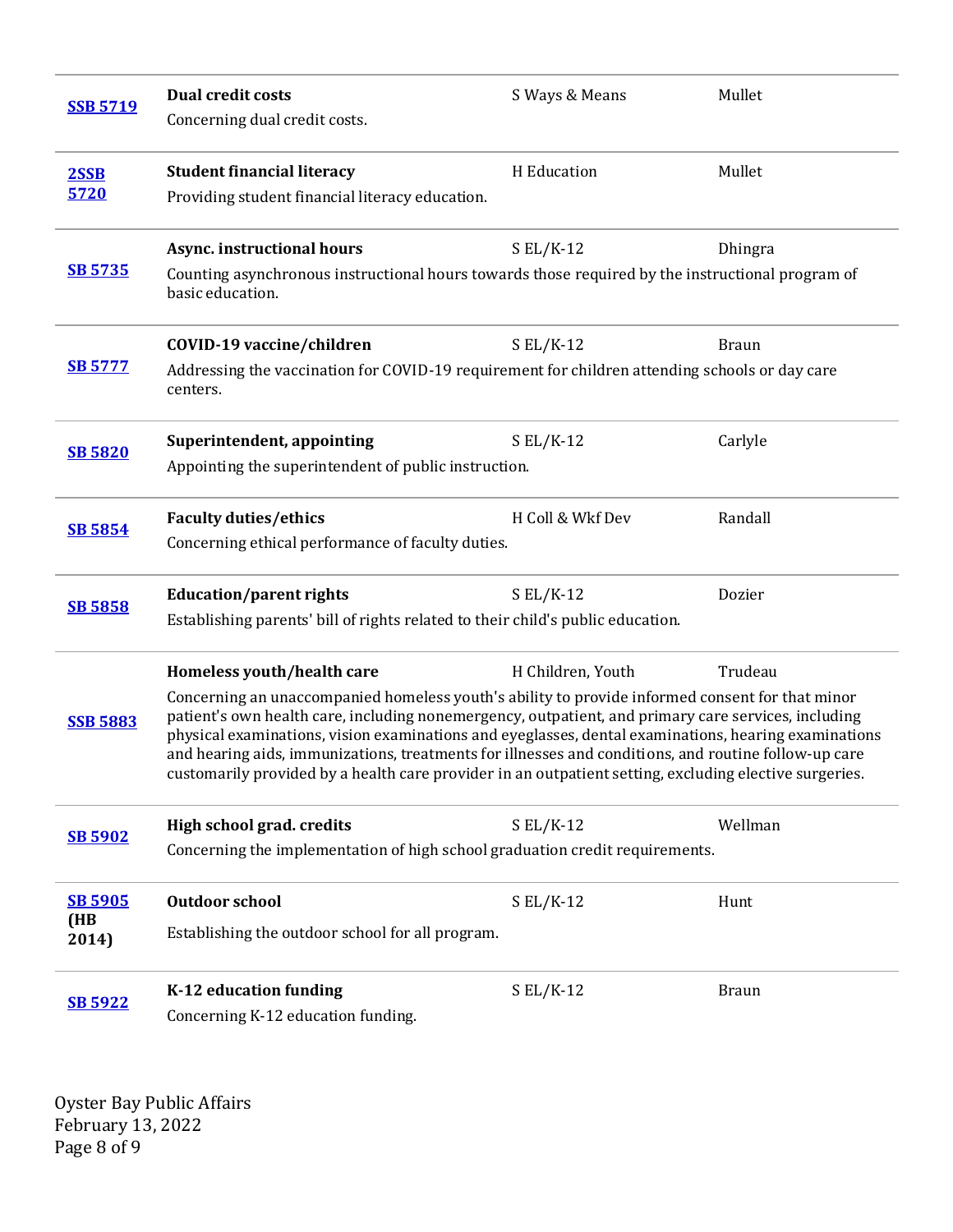| <b>SSB 5719</b> | <b>Dual credit costs</b><br>Concerning dual credit costs.                                                                                                                                                                                                                                                                                                                                                                                                                                                                        | S Ways & Means    | Mullet       |  |
|-----------------|----------------------------------------------------------------------------------------------------------------------------------------------------------------------------------------------------------------------------------------------------------------------------------------------------------------------------------------------------------------------------------------------------------------------------------------------------------------------------------------------------------------------------------|-------------------|--------------|--|
| 2SSB<br>5720    | <b>Student financial literacy</b>                                                                                                                                                                                                                                                                                                                                                                                                                                                                                                | H Education       | Mullet       |  |
|                 | Providing student financial literacy education.                                                                                                                                                                                                                                                                                                                                                                                                                                                                                  |                   |              |  |
|                 | Async. instructional hours                                                                                                                                                                                                                                                                                                                                                                                                                                                                                                       | $S$ EL/K-12       | Dhingra      |  |
| <b>SB 5735</b>  | Counting asynchronous instructional hours towards those required by the instructional program of<br>basic education.                                                                                                                                                                                                                                                                                                                                                                                                             |                   |              |  |
|                 | COVID-19 vaccine/children                                                                                                                                                                                                                                                                                                                                                                                                                                                                                                        | $S EL/K-12$       | <b>Braun</b> |  |
| <u>SB 5777</u>  | Addressing the vaccination for COVID-19 requirement for children attending schools or day care<br>centers.                                                                                                                                                                                                                                                                                                                                                                                                                       |                   |              |  |
| <b>SB 5820</b>  | Superintendent, appointing                                                                                                                                                                                                                                                                                                                                                                                                                                                                                                       | $S EL/K-12$       | Carlyle      |  |
|                 | Appointing the superintendent of public instruction.                                                                                                                                                                                                                                                                                                                                                                                                                                                                             |                   |              |  |
|                 | <b>Faculty duties/ethics</b>                                                                                                                                                                                                                                                                                                                                                                                                                                                                                                     | H Coll & Wkf Dev  | Randall      |  |
| <b>SB 5854</b>  | Concerning ethical performance of faculty duties.                                                                                                                                                                                                                                                                                                                                                                                                                                                                                |                   |              |  |
| <b>SB 5858</b>  | <b>Education/parent rights</b>                                                                                                                                                                                                                                                                                                                                                                                                                                                                                                   | $S EL/K-12$       | Dozier       |  |
|                 | Establishing parents' bill of rights related to their child's public education.                                                                                                                                                                                                                                                                                                                                                                                                                                                  |                   |              |  |
|                 | Homeless youth/health care                                                                                                                                                                                                                                                                                                                                                                                                                                                                                                       | H Children, Youth | Trudeau      |  |
| <b>SSB 5883</b> | Concerning an unaccompanied homeless youth's ability to provide informed consent for that minor<br>patient's own health care, including nonemergency, outpatient, and primary care services, including<br>physical examinations, vision examinations and eyeglasses, dental examinations, hearing examinations<br>and hearing aids, immunizations, treatments for illnesses and conditions, and routine follow-up care<br>customarily provided by a health care provider in an outpatient setting, excluding elective surgeries. |                   |              |  |
| <b>SB 5902</b>  | High school grad. credits                                                                                                                                                                                                                                                                                                                                                                                                                                                                                                        | $S EL/K-12$       | Wellman      |  |
|                 | Concerning the implementation of high school graduation credit requirements.                                                                                                                                                                                                                                                                                                                                                                                                                                                     |                   |              |  |
| <b>SB 5905</b>  | <b>Outdoor school</b>                                                                                                                                                                                                                                                                                                                                                                                                                                                                                                            | $S EL/K-12$       | Hunt         |  |
| (HB<br>2014)    | Establishing the outdoor school for all program.                                                                                                                                                                                                                                                                                                                                                                                                                                                                                 |                   |              |  |
| <b>SB 5922</b>  | K-12 education funding                                                                                                                                                                                                                                                                                                                                                                                                                                                                                                           | $S EL/K-12$       | <b>Braun</b> |  |
|                 | Concerning K-12 education funding.                                                                                                                                                                                                                                                                                                                                                                                                                                                                                               |                   |              |  |